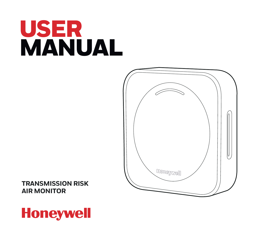# USER MANUAL



**TRANSMISSION RISK AIR MONITOR**

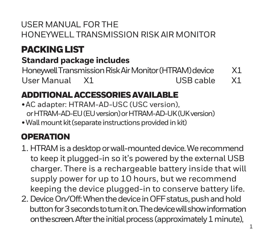#### USER MANUAL FOR THE HONEYWELL TRANSMISSION RISK AIR MONITOR

## PACKING LIST

## **Standard package includes**

Honeywell Transmission Risk Air Monitor (HTRAM) device X1 User Manual X1 USB cable X1

#### ADDITIONAL ACCESSORIES AVAILABLE

- AC adapter: HTRAM-AD-USC (USC version), or HTRAM-AD-EU (EU version) or HTRAM-AD-UK (UK version)
- Wall mount kit (separate instructions provided in kit)

#### **ODEDATION**

- 1. HTRAM is a desktop or wall-mounted device. We recommend to keep it plugged-in so it's powered by the external USB charger. There is a rechargeable battery inside that will supply power for up to 10 hours, but we recommend keeping the device plugged-in to conserve battery life.
- 2. Device On/Off: When the device in OFF status, push and hold button for 3 seconds to turn it on. The device will show information on the screen.After the initial process (approximately 1 minute),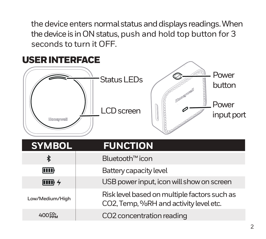the device enters normal status and displays readings. When the device is in ON status, push and hold top button for 3 seconds to turn it OFF.

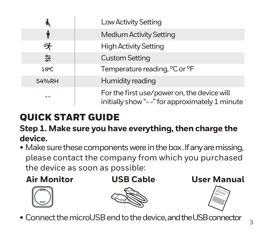| ů,    | Low Activity Setting                                                                          |
|-------|-----------------------------------------------------------------------------------------------|
| ¶     | Medium Activity Setting                                                                       |
| 永     | <b>High Activity Setting</b>                                                                  |
| 얉     | <b>Custom Setting</b>                                                                         |
| 18°C  | Temperature reading, °C or °F                                                                 |
| 54%RH | Humidity reading                                                                              |
|       | For the first use/power on, the device will<br>initially show "--" for approximately 1 minute |

## QUICK START GUIDE

#### **Step 1. Make sure you have everything, then charge the device.**

• Make sure these components were in the box. If any are missing, please contact the company from which you purchased the device as soon as possible:









• Connect the microUSB end to the device, and the USB connector <sup>3</sup>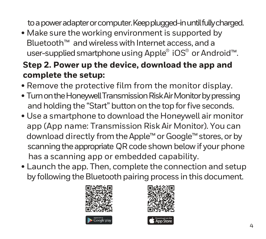to a power adapter or computer. Keep plugged-in until fully charged.

• Make sure the working environment is supported by Bluetooth™ and wireless with Internet access, and a user-supplied smartphone using Apple® iOS® or Android™.

#### **Step 2. Power up the device, download the app and complete the setup:**

- Remove the protective film from the monitor display.
- Turn on the Honeywell Transmission Risk Air Monitor by pressing and holding the "Start" button on the top for five seconds.
- Use a smartphone to download the Honeywell air monitor app (App name: Transmission Risk Air Monitor). You can download directly from the Apple™ or Google™ stores, or by scanning the appropriate QR code shown below if your phone has a scanning app or embedded capability.
- Launch the app. Then, complete the connection and setup by following the Bluetooth pairing process in this document.



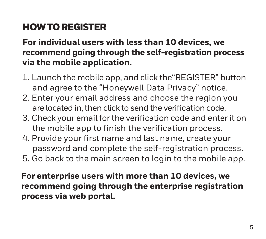## HOW TO REGISTER

#### **For individual users with less than 10 devices, we recommend going through the self-registration process via the mobile application.**

- 1. Launch the mobile app, and click the"REGISTER" button and agree to the "Honeywell Data Privacy" notice.
- 2. Enter your email address and choose the region you are located in, then click to send the verification code.
- 3. Check your email for the verification code and enter it on the mobile app to finish the verification process.
- 4. Provide your first name and last name, create your password and complete the self-registration process.
- 5. Go back to the main screen to login to the mobile app.

**For enterprise users with more than 10 devices, we recommend going through the enterprise registration process via web portal.**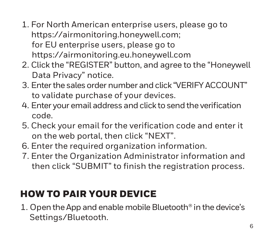- 1. For North American enterprise users, please go to https://airmonitoring.honeywell.com; for EU enterprise users, please go to https://airmonitoring.eu.honeywell.com
- 2. Click the "REGISTER" button, and agree to the "Honeywell Data Privacy" notice.
- 3. Enter the sales order number and click "VERIFY ACCOUNT" to validate purchase of your devices.
- 4. Enter your email address and click to send the verification code.
- 5. Check your email for the verification code and enter it on the web portal, then click "NEXT".
- 6. Enter the required organization information.
- 7. Enter the Organization Administrator information and then click "SUBMIT" to finish the registration process.

### HOW TO PAIR YOUR DEVICE

1. Open the App and enable mobile Bluetooth® in the device's Settings/Bluetooth.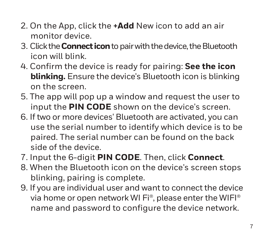- 2. On the App, click the **+Add** New icon to add an air monitor device.
- 3. Click the **Connect icon** to pair with the device, the Bluetooth icon will blink.
- 4. Confirm the device is ready for pairing: **See the icon blinking.** Ensure the device's Bluetooth icon is blinking on the screen.
- 5. The app will pop up a window and request the user to input the **PIN CODE** shown on the device's screen.
- 6. If two or more devices' Bluetooth are activated, you can use the serial number to identify which device is to be paired. The serial number can be found on the back side of the device.
- 7. Input the 6-digit **PIN CODE**. Then, click **Connect**.
- 8. When the Bluetooth icon on the device's screen stops blinking, pairing is complete.
- 9. If you are individual user and want to connect the device via home or open network WI Fi®, please enter the WIFI® name and password to configure the device network.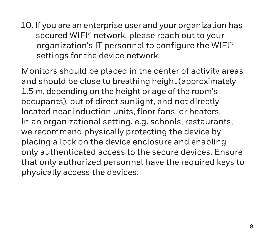10. If you are an enterprise user and your organization has secured WIFI® network, please reach out to your organization's IT personnel to configure the WIFl® settings for the device network.

Monitors should be placed in the center of activity areas and should be close to breathing height (approximately 1.5 m, depending on the height or age of the room's occupants), out of direct sunlight, and not directly located near induction units, floor fans, or heaters. In an organizational setting, e.g. schools, restaurants, we recommend physically protecting the device by placing a lock on the device enclosure and enabling only authenticated access to the secure devices. Ensure that only authorized personnel have the required keys to physically access the devices.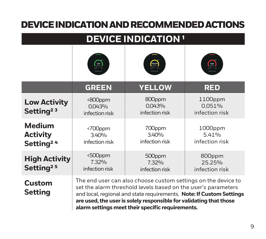#### DEVICE INDICATION AND RECOMMENDED ACTIONS

| <b>DEVICE INDICATION<sup>1</sup></b>                      |                                     |                                                                                                                                                                                                                                                          |                                                                      |
|-----------------------------------------------------------|-------------------------------------|----------------------------------------------------------------------------------------------------------------------------------------------------------------------------------------------------------------------------------------------------------|----------------------------------------------------------------------|
|                                                           |                                     | $\left( \begin{matrix} 0 & 0 \\ 0 & 0 \end{matrix} \right)$                                                                                                                                                                                              | (mar)                                                                |
|                                                           | <b>GREEN</b>                        | <b>YELLOW</b>                                                                                                                                                                                                                                            | <b>RED</b>                                                           |
| <b>Low Activity</b><br>Setting <sup>23</sup>              | <800ppm<br>0.043%<br>infection risk | 800ppm<br>0.043%<br>infection risk                                                                                                                                                                                                                       | 1100ppm<br>0.051%<br>infection risk                                  |
| <b>Medium</b><br><b>Activity</b><br>Setting <sup>24</sup> | <700ppm<br>3.40%<br>infection risk  | 700ppm<br>3.40%<br>infection risk                                                                                                                                                                                                                        | 1000ppm<br>5.41%<br>infection risk                                   |
| <b>High Activity</b><br>Setting <sup>25</sup>             | <500ppm<br>7.32%<br>infection risk  | 500ppm<br>7.32%<br>infection risk                                                                                                                                                                                                                        | 800ppm<br>2525%<br>infection risk                                    |
| <b>Custom</b><br>Setting                                  |                                     | The end user can also choose custom settings on the device to<br>set the alarm threshold levels based on the user's parameters<br>are used, the user is solely responsible for validating that those<br>alarm settings meet their specific requirements. | and local, regional and state requirements. Note: If Custom Settings |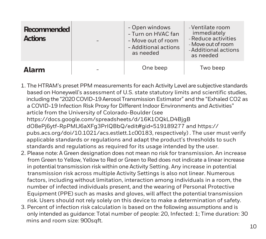| <b>Recommended</b><br><b>Actions</b> | - Open windows<br>- Turn on HVAC fan<br>- Move out of room<br>- Additional actions<br>as needed | -Ventilate room<br>immediately<br>- Reduce activities<br>- Move out of room<br>- Additional actions<br>as needed |
|--------------------------------------|-------------------------------------------------------------------------------------------------|------------------------------------------------------------------------------------------------------------------|
| Δlarm                                | One beep                                                                                        | Two beep                                                                                                         |

- 1. The HTRAM's preset PPM measurements for each Activity Level are subjective standards based on Honeywell's assessment of U.S. state statutory limits and scientific studies, including the "2020 COVID-19 Aerosol Transmission Estimator" and the "Exhaled CO2 as a COVID-19 Infection Risk Proxy for Different Indoor Environments and Activities" article from the University of Colorado-Boulder (see https://docs.google.com/spreadsheets/d/16K1OQkLD4BjgB dO8ePj6ytf-RpPMlJ6aXFg3PrIQBbQ/edit#gid=519189277 and https:// pubs.acs.org/doi/10.1021/acs.estlett.1c00183, respectively) . The user must verify applicable standards or regulations and adapt the product's thresholds to such standards and regulations as required for its usage intended by the user.
- 2. Please note: A Green designation does not mean no risk for transmission. An increase from Green to Yellow, Yellow to Red or Green to Red does not indicate a linear increase in potential transmission risk within one Activity Setting. Any increase in potential transmission risk across multiple Activity Settings is also not linear. Numerous factors, including without limitation, interaction among individuals in a room, the number of infected individuals present, and the wearing of Personal Protective Equipment (PPE) such as masks and gloves, will affect the potential transmission risk. Users should not rely solely on this device to make a determination of safety.
- 3. Percent of infection risk calculation is based on the following assumptions and is only intended as guidance: Total number of people: 20, Infected: 1; Time duration: 30 mins and room size: 900sqft.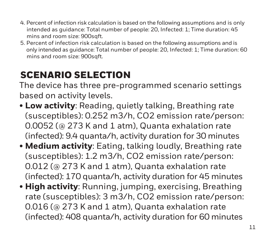- 4. Percent of infection risk calculation is based on the following assumptions and is only intended as guidance: Total number of people: 20, Infected: 1; Time duration: 45 mins and room size: 900sqft.
- 5. Percent of infection risk calculation is based on the following assumptions and is only intended as guidance: Total number of people: 20, Infected: 1; Time duration: 60 mins and room size: 900sqft.

### SCENARIO SELECTION

The device has three pre-programmed scenario settings based on activity levels.

- **Low activity**: Reading, quietly talking, Breathing rate (susceptibles): 0.252 m3/h, CO2 emission rate/person: 0.0052 (@ 273 K and 1 atm), Quanta exhalation rate (infected): 9.4 quanta/h, activity duration for 30 minutes
- **Medium activity**: Eating, talking loudly, Breathing rate (susceptibles): 1.2 m3/h, CO2 emission rate/person: 0.012 (@ 273 K and 1 atm), Quanta exhalation rate (infected): 170 quanta/h, activity duration for 45 minutes
- **High activity**: Running, jumping, exercising, Breathing rate (susceptibles): 3 m3/h, CO2 emission rate/person: 0.016 (@ 273 K and 1 atm), Quanta exhalation rate (infected): 408 quanta/h, activity duration for 60 minutes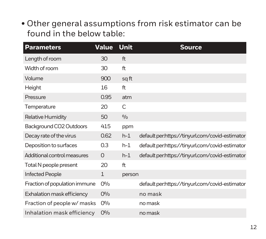• Other general assumptions from risk estimator can be found in the below table:

| <b>Parameters</b>             | Value          | Unit   | <b>Source</b>                                   |
|-------------------------------|----------------|--------|-------------------------------------------------|
| Length of room                | 30             | ft     |                                                 |
| Width of room                 | 30             | ft     |                                                 |
| Volume                        | 900            | sq ft  |                                                 |
| Height                        | 16             | ft     |                                                 |
| Pressure                      | 0.95           | atm    |                                                 |
| Temperature                   | 20             | C      |                                                 |
| <b>Relative Humidity</b>      | 50             | 0/0    |                                                 |
| Background CO2 Outdoors       | 415            | ppm    |                                                 |
| Decay rate of the virus       | 0.62           | $h-1$  | default per.https://tinyurl.com/covid-estimator |
| Deposition to surfaces        | 0.3            | $h-1$  | default per:https://tinyurl.com/covid-estimator |
| Additional control measures   | $\Omega$       | $h-1$  | default per.https://tinyurl.com/covid-estimator |
| Total N people present        | 20             | ft     |                                                 |
| <b>Infected People</b>        | $\mathbf{1}$   | person |                                                 |
| Fraction of population immune | O <sub>0</sub> |        | default per:https://tinyurl.com/covid-estimator |
| Exhalation mask efficiency    | O <sub>0</sub> |        | no mask                                         |
| Fraction of people w/ masks   | O <sub>0</sub> |        | no mask                                         |
| Inhalation mask efficiency    | O <sub>0</sub> |        | no mask                                         |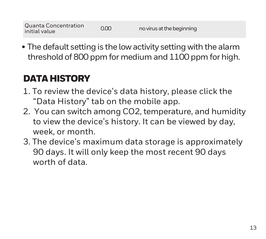• The default setting is the low activity setting with the alarm threshold of 800 ppm for medium and 1100 ppm for high.

## DATA HISTORY

- 1. To review the device's data history, please click the "Data History" tab on the mobile app.
- 2. You can switch among CO2, temperature, and humidity to view the device's history. It can be viewed by day, week, or month.
- 3. The device's maximum data storage is approximately 90 days. It will only keep the most recent 90 days worth of data.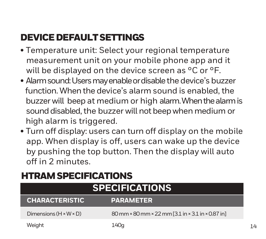## DEVICE DEFAULT SETTINGS

- Temperature unit: Select your regional temperature measurement unit on your mobile phone app and it will be displayed on the device screen as °C or °F.
- Alarm sound: Users may enable or disable the device's buzzer function. When the device's alarm sound is enabled, the buzzer will beep at medium or high alarm. When the alarm is sound disabled, the buzzer will not beep when medium or high alarm is triggered.
- Turn off display: users can turn off display on the mobile app. When display is off, users can wake up the device by pushing the top button. Then the display will auto off in 2 minutes.

#### HTRAM SPECIFICATIONS

| <b>SPECIFICATIONS</b>              |                                                   |  |
|------------------------------------|---------------------------------------------------|--|
| <b>CHARACTERISTIC</b>              | <b>PARAMETER</b>                                  |  |
| Dimensions $(H \times W \times D)$ | 80 mm × 80 mm × 22 mm [3.1 in × 3.1 in × 0.87 in] |  |
| Weight                             | 140a                                              |  |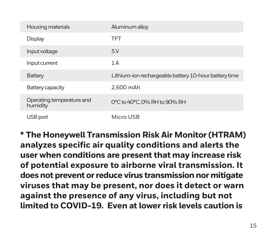| Housing materials                     | Aluminum alloy                                        |
|---------------------------------------|-------------------------------------------------------|
| Display                               | <b>TFT</b>                                            |
| Input voltage                         | 5V                                                    |
| Input current                         | 1A                                                    |
| Battery                               | Lithium-ion rechargeable battery 10-hour battery time |
| Battery capacity                      | 2.600 mAh                                             |
| Operating temperature and<br>humidity | 0°C to 40°C, 0% RH to 90% RH                          |
| USB port                              | Micro USB                                             |

**\* The Honeywell Transmission Risk Air Monitor (HTRAM) analyzes specific air quality conditions and alerts the user when conditions are present that may increase risk of potential exposure to airborne viral transmission. It does not prevent or reduce virus transmission nor mitigate viruses that may be present, nor does it detect or warn against the presence of any virus, including but not limited to COVID-19. Even at lower risk levels caution is**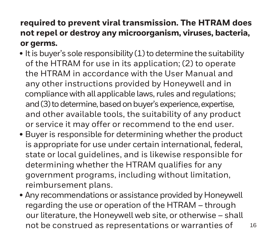#### **required to prevent viral transmission. The HTRAM does not repel or destroy any microorganism, viruses, bacteria, or germs.**

- It is buyer's sole responsibility (1) to determine the suitability of the HTRAM for use in its application; (2) to operate the HTRAM in accordance with the User Manual and any other instructions provided by Honeywell and in compliance with all applicable laws, rules and regulations; and (3) to determine, based on buyer's experience, expertise, and other available tools, the suitability of any product or service it may offer or recommend to the end user.
- Buyer is responsible for determining whether the product is appropriate for use under certain international, federal, state or local guidelines, and is likewise responsible for determining whether the HTRAM qualifies for any government programs, including without limitation, reimbursement plans.
- Any recommendations or assistance provided by Honeywell regarding the use or operation of the HTRAM – through our literature, the Honeywell web site, or otherwise – shall not be construed as representations or warranties of 16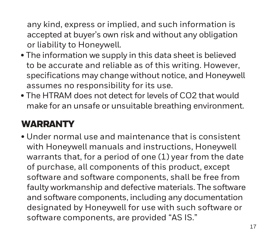any kind, express or implied, and such information is accepted at buyer's own risk and without any obligation or liability to Honeywell.

- The information we supply in this data sheet is believed to be accurate and reliable as of this writing. However, specifications may change without notice, and Honeywell assumes no responsibility for its use.
- The HTRAM does not detect for levels of CO2 that would make for an unsafe or unsuitable breathing environment.

### **WARRANTY**

• Under normal use and maintenance that is consistent with Honeywell manuals and instructions, Honeywell warrants that, for a period of one (1) year from the date of purchase, all components of this product, except software and software components, shall be free from faulty workmanship and defective materials. The software and software components, including any documentation designated by Honeywell for use with such software or software components, are provided "AS IS."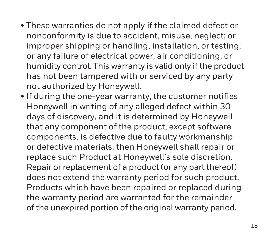- These warranties do not apply if the claimed defect or nonconformity is due to accident, misuse, neglect; or improper shipping or handling, installation, or testing; or any failure of electrical power, air conditioning, or humidity control. This warranty is valid only if the product has not been tampered with or serviced by any party not authorized by Honeywell.
- If during the one-year warranty, the customer notifies Honeywell in writing of any alleged defect within 30 days of discovery, and it is determined by Honeywell that any component of the product, except software components, is defective due to faulty workmanship or defective materials, then Honeywell shall repair or replace such Product at Honeywell's sole discretion. Repair or replacement of a product (or any part thereof) does not extend the warranty period for such product. Products which have been repaired or replaced during the warranty period are warranted for the remainder of the unexpired portion of the original warranty period.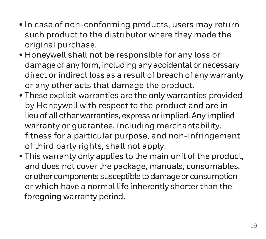- In case of non-conforming products, users may return such product to the distributor where they made the original purchase.
- Honeywell shall not be responsible for any loss or damage of any form, including any accidental or necessary direct or indirect loss as a result of breach of any warranty or any other acts that damage the product.
- These explicit warranties are the only warranties provided by Honeywell with respect to the product and are in lieu of all other warranties, express or implied. Any implied warranty or guarantee, including merchantability, fitness for a particular purpose, and non-infringement of third party rights, shall not apply.
- This warranty only applies to the main unit of the product, and does not cover the package, manuals, consumables, or other components susceptible to damage or consumption or which have a normal life inherently shorter than the foregoing warranty period.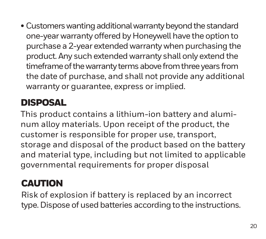• Customers wanting additional warranty beyond the standard one-year warranty offered by Honeywell have the option to purchase a 2-year extended warranty when purchasing the product. Any such extended warranty shall only extend the timeframe of the warranty terms above from three years from the date of purchase, and shall not provide any additional warranty or guarantee, express or implied.

## DISPOSAL

This product contains a lithium-ion battery and aluminum alloy materials. Upon receipt of the product, the customer is responsible for proper use, transport, storage and disposal of the product based on the battery and material type, including but not limited to applicable governmental requirements for proper disposal

## **CAUTION**

Risk of explosion if battery is replaced by an incorrect type. Dispose of used batteries according to the instructions.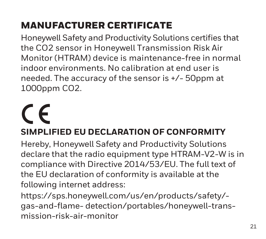## MANUFACTURER CERTIFICATE

Honeywell Safety and Productivity Solutions certifies that the CO2 sensor in Honeywell Transmission Risk Air Monitor (HTRAM) device is maintenance-free in normal indoor environments. No calibration at end user is needed. The accuracy of the sensor is +/- 50ppm at 1000ppm CO2.

## $\epsilon$ **SIMPLIFIED EU DECLARATION OF CONFORMITY**

Hereby, Honeywell Safety and Productivity Solutions declare that the radio equipment type HTRAM-V2-W is in compliance with Directive 2014/53/EU. The full text of the EU declaration of conformity is available at the following internet address:

https://sps.honeywell.com/us/en/products/safety/ gas-and-flame- detection/portables/honeywell-transmission-risk-air-monitor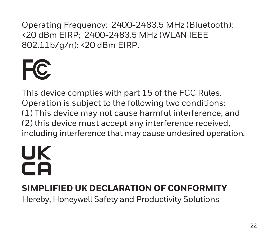Operating Frequency: 2400-2483.5 MHz (Bluetooth): <20 dBm EIRP; 2400-2483.5 MHz (WLAN IEEE 802.11b/g/n): <20 dBm EIRP.



This device complies with part 15 of the FCC Rules. Operation is subject to the following two conditions: (1) This device may not cause harmful interference, and (2) this device must accept any interference received, including interference that may cause undesired operation.

# UK  $\overline{\mathsf{C}}$

#### **SIMPLIFIED UK DECLARATION OF CONFORMITY**

Hereby, Honeywell Safety and Productivity Solutions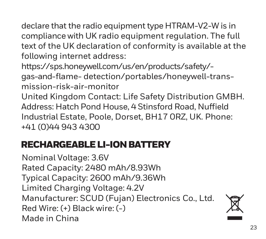declare that the radio equipment type HTRAM-V2-W is in compliance with UK radio equipment regulation. The full text of the UK declaration of conformity is available at the following internet address:

https://sps.honeywell.com/us/en/products/safety/ gas-and-flame- detection/portables/honeywell-transmission-risk-air-monitor

United Kingdom Contact: Life Safety Distribution GMBH. Address: Hatch Pond House, 4 Stinsford Road, Nuffield Industrial Estate, Poole, Dorset, BH17 0RZ, UK. Phone: +41 (0)44 943 4300

### RECHARGEABLE LI-ION BATTERY

Nominal Voltage: 3.6V Rated Capacity: 2480 mAh/8.93Wh Typical Capacity: 2600 mAh/9.36Wh Limited Charging Voltage: 4.2V Manufacturer: SCUD (Fujan) Electronics Co., Ltd. Red Wire: (+) Black wire: (-) Made in China

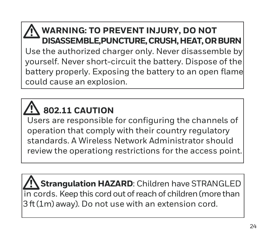#### **WARNING: TO PREVENT INJURY, DO NOT DISASSEMBLE,PUNCTURE, CRUSH, HEAT, OR BURN**

Use the authorized charger only. Never disassemble by yourself. Never short-circuit the battery. Dispose of the battery properly. Exposing the battery to an open flame could cause an explosion.

## **802.11 CAUTION**

í

Users are responsible for configuring the channels of operation that comply with their country regulatory standards. A Wireless Network Administrator should review the operationg restrictions for the access point.

 **Strangulation HAZARD**: Children have STRANGLED in cords. Keep this cord out of reach of children (more than 3 ft (1m) away). Do not use with an extension cord.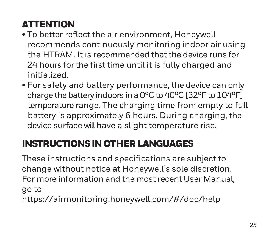## **ATTENTION**

- To better reflect the air environment, Honeywell recommends continuously monitoring indoor air using the HTRAM. It is recommended that the device runs for 24 hours for the first time until it is fully charged and initialized.
- For safety and battery performance, the device can only charge the battery indoors in a 0°C to 40°C [32°F to 104°F] temperature range. The charging time from empty to full battery is approximately 6 hours. During charging, the device surface will have a slight temperature rise.

## INSTRUCTIONS IN OTHER LANGUAGES

These instructions and specifications are subject to change without notice at Honeywell's sole discretion. For more information and the most recent User Manual, go to https://airmonitoring.honeywell.com/#/doc/help